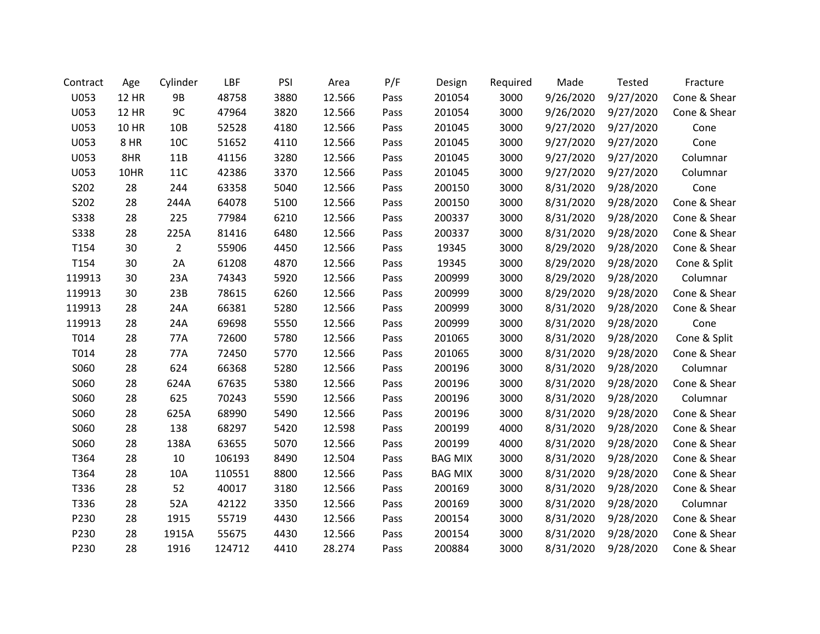| Contract    | Age          | Cylinder       | LBF    | PSI  | Area   | P/F  | Design         | Required | Made      | Tested    | Fracture     |
|-------------|--------------|----------------|--------|------|--------|------|----------------|----------|-----------|-----------|--------------|
| U053        | <b>12 HR</b> | 9B             | 48758  | 3880 | 12.566 | Pass | 201054         | 3000     | 9/26/2020 | 9/27/2020 | Cone & Shear |
| U053        | <b>12 HR</b> | 9C             | 47964  | 3820 | 12.566 | Pass | 201054         | 3000     | 9/26/2020 | 9/27/2020 | Cone & Shear |
| U053        | <b>10 HR</b> | 10B            | 52528  | 4180 | 12.566 | Pass | 201045         | 3000     | 9/27/2020 | 9/27/2020 | Cone         |
| U053        | 8 HR         | 10C            | 51652  | 4110 | 12.566 | Pass | 201045         | 3000     | 9/27/2020 | 9/27/2020 | Cone         |
| U053        | 8HR          | 11B            | 41156  | 3280 | 12.566 | Pass | 201045         | 3000     | 9/27/2020 | 9/27/2020 | Columnar     |
| U053        | 10HR         | <b>11C</b>     | 42386  | 3370 | 12.566 | Pass | 201045         | 3000     | 9/27/2020 | 9/27/2020 | Columnar     |
| S202        | 28           | 244            | 63358  | 5040 | 12.566 | Pass | 200150         | 3000     | 8/31/2020 | 9/28/2020 | Cone         |
| S202        | 28           | 244A           | 64078  | 5100 | 12.566 | Pass | 200150         | 3000     | 8/31/2020 | 9/28/2020 | Cone & Shear |
| <b>S338</b> | 28           | 225            | 77984  | 6210 | 12.566 | Pass | 200337         | 3000     | 8/31/2020 | 9/28/2020 | Cone & Shear |
| <b>S338</b> | 28           | 225A           | 81416  | 6480 | 12.566 | Pass | 200337         | 3000     | 8/31/2020 | 9/28/2020 | Cone & Shear |
| T154        | 30           | $\overline{2}$ | 55906  | 4450 | 12.566 | Pass | 19345          | 3000     | 8/29/2020 | 9/28/2020 | Cone & Shear |
| T154        | 30           | 2A             | 61208  | 4870 | 12.566 | Pass | 19345          | 3000     | 8/29/2020 | 9/28/2020 | Cone & Split |
| 119913      | 30           | 23A            | 74343  | 5920 | 12.566 | Pass | 200999         | 3000     | 8/29/2020 | 9/28/2020 | Columnar     |
| 119913      | 30           | 23B            | 78615  | 6260 | 12.566 | Pass | 200999         | 3000     | 8/29/2020 | 9/28/2020 | Cone & Shear |
| 119913      | 28           | 24A            | 66381  | 5280 | 12.566 | Pass | 200999         | 3000     | 8/31/2020 | 9/28/2020 | Cone & Shear |
| 119913      | 28           | 24A            | 69698  | 5550 | 12.566 | Pass | 200999         | 3000     | 8/31/2020 | 9/28/2020 | Cone         |
| T014        | 28           | 77A            | 72600  | 5780 | 12.566 | Pass | 201065         | 3000     | 8/31/2020 | 9/28/2020 | Cone & Split |
| T014        | 28           | 77A            | 72450  | 5770 | 12.566 | Pass | 201065         | 3000     | 8/31/2020 | 9/28/2020 | Cone & Shear |
| S060        | 28           | 624            | 66368  | 5280 | 12.566 | Pass | 200196         | 3000     | 8/31/2020 | 9/28/2020 | Columnar     |
| S060        | 28           | 624A           | 67635  | 5380 | 12.566 | Pass | 200196         | 3000     | 8/31/2020 | 9/28/2020 | Cone & Shear |
| S060        | 28           | 625            | 70243  | 5590 | 12.566 | Pass | 200196         | 3000     | 8/31/2020 | 9/28/2020 | Columnar     |
| S060        | 28           | 625A           | 68990  | 5490 | 12.566 | Pass | 200196         | 3000     | 8/31/2020 | 9/28/2020 | Cone & Shear |
| S060        | 28           | 138            | 68297  | 5420 | 12.598 | Pass | 200199         | 4000     | 8/31/2020 | 9/28/2020 | Cone & Shear |
| S060        | 28           | 138A           | 63655  | 5070 | 12.566 | Pass | 200199         | 4000     | 8/31/2020 | 9/28/2020 | Cone & Shear |
| T364        | 28           | 10             | 106193 | 8490 | 12.504 | Pass | <b>BAG MIX</b> | 3000     | 8/31/2020 | 9/28/2020 | Cone & Shear |
| T364        | 28           | 10A            | 110551 | 8800 | 12.566 | Pass | <b>BAG MIX</b> | 3000     | 8/31/2020 | 9/28/2020 | Cone & Shear |
| T336        | 28           | 52             | 40017  | 3180 | 12.566 | Pass | 200169         | 3000     | 8/31/2020 | 9/28/2020 | Cone & Shear |
| T336        | 28           | 52A            | 42122  | 3350 | 12.566 | Pass | 200169         | 3000     | 8/31/2020 | 9/28/2020 | Columnar     |
| P230        | 28           | 1915           | 55719  | 4430 | 12.566 | Pass | 200154         | 3000     | 8/31/2020 | 9/28/2020 | Cone & Shear |
| P230        | 28           | 1915A          | 55675  | 4430 | 12.566 | Pass | 200154         | 3000     | 8/31/2020 | 9/28/2020 | Cone & Shear |
| P230        | 28           | 1916           | 124712 | 4410 | 28.274 | Pass | 200884         | 3000     | 8/31/2020 | 9/28/2020 | Cone & Shear |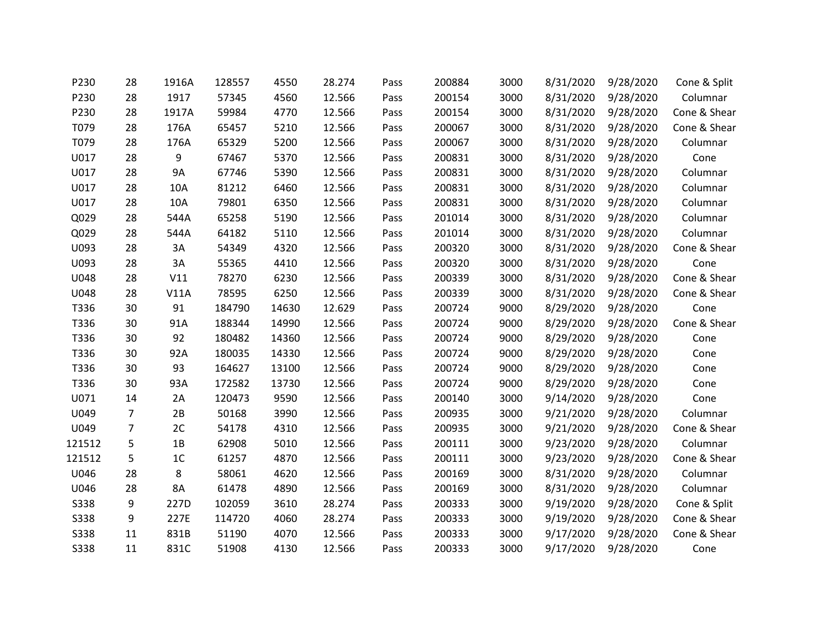| P230        | 28             | 1916A          | 128557 | 4550  | 28.274 | Pass | 200884 | 3000 | 8/31/2020 | 9/28/2020 | Cone & Split |
|-------------|----------------|----------------|--------|-------|--------|------|--------|------|-----------|-----------|--------------|
| P230        | 28             | 1917           | 57345  | 4560  | 12.566 | Pass | 200154 | 3000 | 8/31/2020 | 9/28/2020 | Columnar     |
| P230        | 28             | 1917A          | 59984  | 4770  | 12.566 | Pass | 200154 | 3000 | 8/31/2020 | 9/28/2020 | Cone & Shear |
| T079        | 28             | 176A           | 65457  | 5210  | 12.566 | Pass | 200067 | 3000 | 8/31/2020 | 9/28/2020 | Cone & Shear |
| T079        | 28             | 176A           | 65329  | 5200  | 12.566 | Pass | 200067 | 3000 | 8/31/2020 | 9/28/2020 | Columnar     |
| U017        | 28             | 9              | 67467  | 5370  | 12.566 | Pass | 200831 | 3000 | 8/31/2020 | 9/28/2020 | Cone         |
| U017        | 28             | <b>9A</b>      | 67746  | 5390  | 12.566 | Pass | 200831 | 3000 | 8/31/2020 | 9/28/2020 | Columnar     |
| U017        | 28             | 10A            | 81212  | 6460  | 12.566 | Pass | 200831 | 3000 | 8/31/2020 | 9/28/2020 | Columnar     |
| U017        | 28             | 10A            | 79801  | 6350  | 12.566 | Pass | 200831 | 3000 | 8/31/2020 | 9/28/2020 | Columnar     |
| Q029        | 28             | 544A           | 65258  | 5190  | 12.566 | Pass | 201014 | 3000 | 8/31/2020 | 9/28/2020 | Columnar     |
| Q029        | 28             | 544A           | 64182  | 5110  | 12.566 | Pass | 201014 | 3000 | 8/31/2020 | 9/28/2020 | Columnar     |
| U093        | 28             | 3A             | 54349  | 4320  | 12.566 | Pass | 200320 | 3000 | 8/31/2020 | 9/28/2020 | Cone & Shear |
| U093        | 28             | 3A             | 55365  | 4410  | 12.566 | Pass | 200320 | 3000 | 8/31/2020 | 9/28/2020 | Cone         |
| U048        | 28             | V11            | 78270  | 6230  | 12.566 | Pass | 200339 | 3000 | 8/31/2020 | 9/28/2020 | Cone & Shear |
| U048        | 28             | V11A           | 78595  | 6250  | 12.566 | Pass | 200339 | 3000 | 8/31/2020 | 9/28/2020 | Cone & Shear |
| T336        | 30             | 91             | 184790 | 14630 | 12.629 | Pass | 200724 | 9000 | 8/29/2020 | 9/28/2020 | Cone         |
| T336        | 30             | 91A            | 188344 | 14990 | 12.566 | Pass | 200724 | 9000 | 8/29/2020 | 9/28/2020 | Cone & Shear |
| T336        | 30             | 92             | 180482 | 14360 | 12.566 | Pass | 200724 | 9000 | 8/29/2020 | 9/28/2020 | Cone         |
| T336        | 30             | 92A            | 180035 | 14330 | 12.566 | Pass | 200724 | 9000 | 8/29/2020 | 9/28/2020 | Cone         |
| T336        | 30             | 93             | 164627 | 13100 | 12.566 | Pass | 200724 | 9000 | 8/29/2020 | 9/28/2020 | Cone         |
| T336        | 30             | 93A            | 172582 | 13730 | 12.566 | Pass | 200724 | 9000 | 8/29/2020 | 9/28/2020 | Cone         |
| U071        | 14             | 2A             | 120473 | 9590  | 12.566 | Pass | 200140 | 3000 | 9/14/2020 | 9/28/2020 | Cone         |
| U049        | $\overline{7}$ | 2B             | 50168  | 3990  | 12.566 | Pass | 200935 | 3000 | 9/21/2020 | 9/28/2020 | Columnar     |
| U049        | $\overline{7}$ | 2C             | 54178  | 4310  | 12.566 | Pass | 200935 | 3000 | 9/21/2020 | 9/28/2020 | Cone & Shear |
| 121512      | 5              | 1B             | 62908  | 5010  | 12.566 | Pass | 200111 | 3000 | 9/23/2020 | 9/28/2020 | Columnar     |
| 121512      | 5              | 1 <sup>C</sup> | 61257  | 4870  | 12.566 | Pass | 200111 | 3000 | 9/23/2020 | 9/28/2020 | Cone & Shear |
| U046        | 28             | 8              | 58061  | 4620  | 12.566 | Pass | 200169 | 3000 | 8/31/2020 | 9/28/2020 | Columnar     |
| U046        | 28             | 8A             | 61478  | 4890  | 12.566 | Pass | 200169 | 3000 | 8/31/2020 | 9/28/2020 | Columnar     |
| <b>S338</b> | 9              | 227D           | 102059 | 3610  | 28.274 | Pass | 200333 | 3000 | 9/19/2020 | 9/28/2020 | Cone & Split |
| <b>S338</b> | 9              | 227E           | 114720 | 4060  | 28.274 | Pass | 200333 | 3000 | 9/19/2020 | 9/28/2020 | Cone & Shear |
| <b>S338</b> | 11             | 831B           | 51190  | 4070  | 12.566 | Pass | 200333 | 3000 | 9/17/2020 | 9/28/2020 | Cone & Shear |
| <b>S338</b> | 11             | 831C           | 51908  | 4130  | 12.566 | Pass | 200333 | 3000 | 9/17/2020 | 9/28/2020 | Cone         |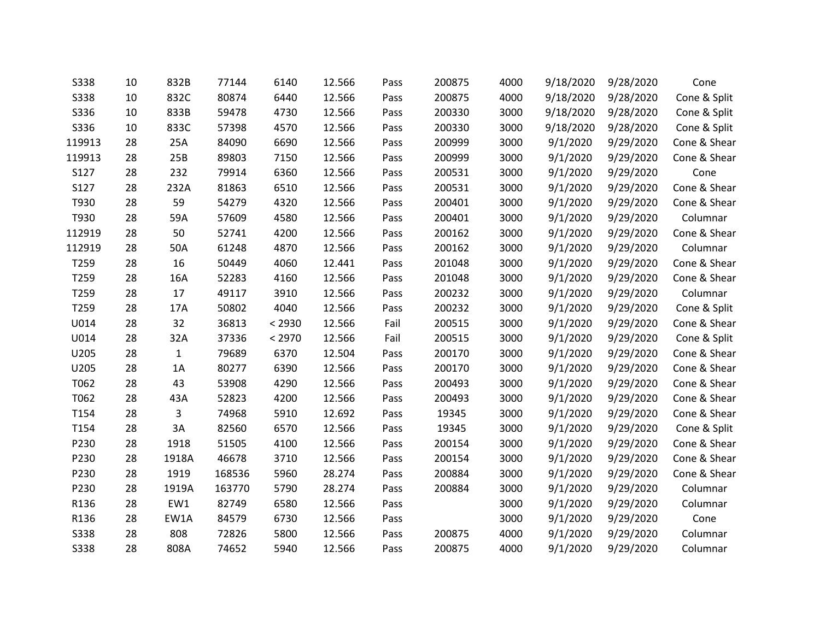| <b>S338</b> | 10 | 832B         | 77144  | 6140   | 12.566 | Pass | 200875 | 4000 | 9/18/2020 | 9/28/2020 | Cone         |
|-------------|----|--------------|--------|--------|--------|------|--------|------|-----------|-----------|--------------|
| <b>S338</b> | 10 | 832C         | 80874  | 6440   | 12.566 | Pass | 200875 | 4000 | 9/18/2020 | 9/28/2020 | Cone & Split |
| S336        | 10 | 833B         | 59478  | 4730   | 12.566 | Pass | 200330 | 3000 | 9/18/2020 | 9/28/2020 | Cone & Split |
| S336        | 10 | 833C         | 57398  | 4570   | 12.566 | Pass | 200330 | 3000 | 9/18/2020 | 9/28/2020 | Cone & Split |
| 119913      | 28 | 25A          | 84090  | 6690   | 12.566 | Pass | 200999 | 3000 | 9/1/2020  | 9/29/2020 | Cone & Shear |
| 119913      | 28 | 25B          | 89803  | 7150   | 12.566 | Pass | 200999 | 3000 | 9/1/2020  | 9/29/2020 | Cone & Shear |
| S127        | 28 | 232          | 79914  | 6360   | 12.566 | Pass | 200531 | 3000 | 9/1/2020  | 9/29/2020 | Cone         |
| S127        | 28 | 232A         | 81863  | 6510   | 12.566 | Pass | 200531 | 3000 | 9/1/2020  | 9/29/2020 | Cone & Shear |
| T930        | 28 | 59           | 54279  | 4320   | 12.566 | Pass | 200401 | 3000 | 9/1/2020  | 9/29/2020 | Cone & Shear |
| T930        | 28 | 59A          | 57609  | 4580   | 12.566 | Pass | 200401 | 3000 | 9/1/2020  | 9/29/2020 | Columnar     |
| 112919      | 28 | 50           | 52741  | 4200   | 12.566 | Pass | 200162 | 3000 | 9/1/2020  | 9/29/2020 | Cone & Shear |
| 112919      | 28 | 50A          | 61248  | 4870   | 12.566 | Pass | 200162 | 3000 | 9/1/2020  | 9/29/2020 | Columnar     |
| T259        | 28 | 16           | 50449  | 4060   | 12.441 | Pass | 201048 | 3000 | 9/1/2020  | 9/29/2020 | Cone & Shear |
| T259        | 28 | 16A          | 52283  | 4160   | 12.566 | Pass | 201048 | 3000 | 9/1/2020  | 9/29/2020 | Cone & Shear |
| T259        | 28 | 17           | 49117  | 3910   | 12.566 | Pass | 200232 | 3000 | 9/1/2020  | 9/29/2020 | Columnar     |
| T259        | 28 | 17A          | 50802  | 4040   | 12.566 | Pass | 200232 | 3000 | 9/1/2020  | 9/29/2020 | Cone & Split |
| U014        | 28 | 32           | 36813  | < 2930 | 12.566 | Fail | 200515 | 3000 | 9/1/2020  | 9/29/2020 | Cone & Shear |
| U014        | 28 | 32A          | 37336  | < 2970 | 12.566 | Fail | 200515 | 3000 | 9/1/2020  | 9/29/2020 | Cone & Split |
| U205        | 28 | $\mathbf{1}$ | 79689  | 6370   | 12.504 | Pass | 200170 | 3000 | 9/1/2020  | 9/29/2020 | Cone & Shear |
| U205        | 28 | 1A           | 80277  | 6390   | 12.566 | Pass | 200170 | 3000 | 9/1/2020  | 9/29/2020 | Cone & Shear |
| T062        | 28 | 43           | 53908  | 4290   | 12.566 | Pass | 200493 | 3000 | 9/1/2020  | 9/29/2020 | Cone & Shear |
| T062        | 28 | 43A          | 52823  | 4200   | 12.566 | Pass | 200493 | 3000 | 9/1/2020  | 9/29/2020 | Cone & Shear |
| T154        | 28 | 3            | 74968  | 5910   | 12.692 | Pass | 19345  | 3000 | 9/1/2020  | 9/29/2020 | Cone & Shear |
| T154        | 28 | 3A           | 82560  | 6570   | 12.566 | Pass | 19345  | 3000 | 9/1/2020  | 9/29/2020 | Cone & Split |
| P230        | 28 | 1918         | 51505  | 4100   | 12.566 | Pass | 200154 | 3000 | 9/1/2020  | 9/29/2020 | Cone & Shear |
| P230        | 28 | 1918A        | 46678  | 3710   | 12.566 | Pass | 200154 | 3000 | 9/1/2020  | 9/29/2020 | Cone & Shear |
| P230        | 28 | 1919         | 168536 | 5960   | 28.274 | Pass | 200884 | 3000 | 9/1/2020  | 9/29/2020 | Cone & Shear |
| P230        | 28 | 1919A        | 163770 | 5790   | 28.274 | Pass | 200884 | 3000 | 9/1/2020  | 9/29/2020 | Columnar     |
| R136        | 28 | EW1          | 82749  | 6580   | 12.566 | Pass |        | 3000 | 9/1/2020  | 9/29/2020 | Columnar     |
| R136        | 28 | EW1A         | 84579  | 6730   | 12.566 | Pass |        | 3000 | 9/1/2020  | 9/29/2020 | Cone         |
| <b>S338</b> | 28 | 808          | 72826  | 5800   | 12.566 | Pass | 200875 | 4000 | 9/1/2020  | 9/29/2020 | Columnar     |
| <b>S338</b> | 28 | 808A         | 74652  | 5940   | 12.566 | Pass | 200875 | 4000 | 9/1/2020  | 9/29/2020 | Columnar     |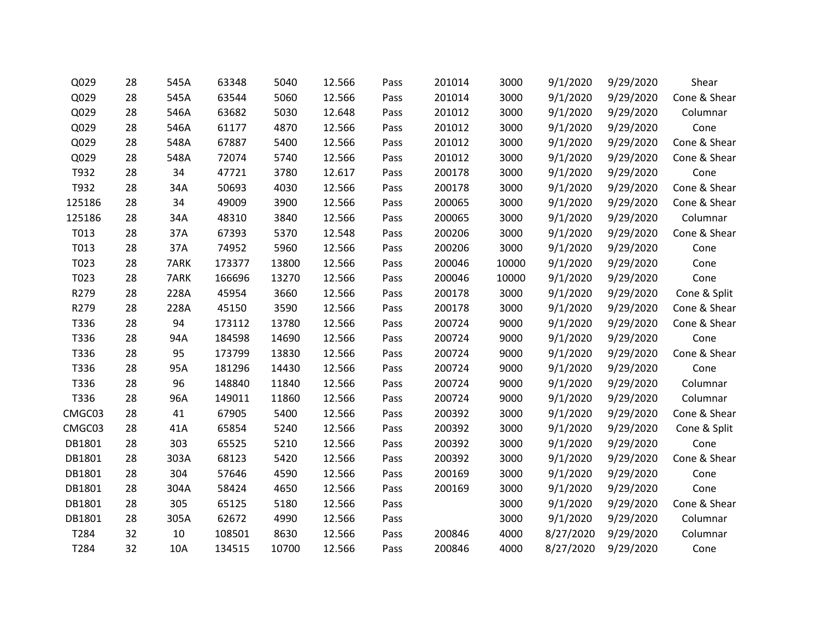| Q029   | 28 | 545A | 63348  | 5040  | 12.566 | Pass | 201014 | 3000  | 9/1/2020  | 9/29/2020 | Shear        |
|--------|----|------|--------|-------|--------|------|--------|-------|-----------|-----------|--------------|
| Q029   | 28 | 545A | 63544  | 5060  | 12.566 | Pass | 201014 | 3000  | 9/1/2020  | 9/29/2020 | Cone & Shear |
| Q029   | 28 | 546A | 63682  | 5030  | 12.648 | Pass | 201012 | 3000  | 9/1/2020  | 9/29/2020 | Columnar     |
| Q029   | 28 | 546A | 61177  | 4870  | 12.566 | Pass | 201012 | 3000  | 9/1/2020  | 9/29/2020 | Cone         |
| Q029   | 28 | 548A | 67887  | 5400  | 12.566 | Pass | 201012 | 3000  | 9/1/2020  | 9/29/2020 | Cone & Shear |
| Q029   | 28 | 548A | 72074  | 5740  | 12.566 | Pass | 201012 | 3000  | 9/1/2020  | 9/29/2020 | Cone & Shear |
| T932   | 28 | 34   | 47721  | 3780  | 12.617 | Pass | 200178 | 3000  | 9/1/2020  | 9/29/2020 | Cone         |
| T932   | 28 | 34A  | 50693  | 4030  | 12.566 | Pass | 200178 | 3000  | 9/1/2020  | 9/29/2020 | Cone & Shear |
| 125186 | 28 | 34   | 49009  | 3900  | 12.566 | Pass | 200065 | 3000  | 9/1/2020  | 9/29/2020 | Cone & Shear |
| 125186 | 28 | 34A  | 48310  | 3840  | 12.566 | Pass | 200065 | 3000  | 9/1/2020  | 9/29/2020 | Columnar     |
| T013   | 28 | 37A  | 67393  | 5370  | 12.548 | Pass | 200206 | 3000  | 9/1/2020  | 9/29/2020 | Cone & Shear |
| T013   | 28 | 37A  | 74952  | 5960  | 12.566 | Pass | 200206 | 3000  | 9/1/2020  | 9/29/2020 | Cone         |
| T023   | 28 | 7ARK | 173377 | 13800 | 12.566 | Pass | 200046 | 10000 | 9/1/2020  | 9/29/2020 | Cone         |
| T023   | 28 | 7ARK | 166696 | 13270 | 12.566 | Pass | 200046 | 10000 | 9/1/2020  | 9/29/2020 | Cone         |
| R279   | 28 | 228A | 45954  | 3660  | 12.566 | Pass | 200178 | 3000  | 9/1/2020  | 9/29/2020 | Cone & Split |
| R279   | 28 | 228A | 45150  | 3590  | 12.566 | Pass | 200178 | 3000  | 9/1/2020  | 9/29/2020 | Cone & Shear |
| T336   | 28 | 94   | 173112 | 13780 | 12.566 | Pass | 200724 | 9000  | 9/1/2020  | 9/29/2020 | Cone & Shear |
| T336   | 28 | 94A  | 184598 | 14690 | 12.566 | Pass | 200724 | 9000  | 9/1/2020  | 9/29/2020 | Cone         |
| T336   | 28 | 95   | 173799 | 13830 | 12.566 | Pass | 200724 | 9000  | 9/1/2020  | 9/29/2020 | Cone & Shear |
| T336   | 28 | 95A  | 181296 | 14430 | 12.566 | Pass | 200724 | 9000  | 9/1/2020  | 9/29/2020 | Cone         |
| T336   | 28 | 96   | 148840 | 11840 | 12.566 | Pass | 200724 | 9000  | 9/1/2020  | 9/29/2020 | Columnar     |
| T336   | 28 | 96A  | 149011 | 11860 | 12.566 | Pass | 200724 | 9000  | 9/1/2020  | 9/29/2020 | Columnar     |
| CMGC03 | 28 | 41   | 67905  | 5400  | 12.566 | Pass | 200392 | 3000  | 9/1/2020  | 9/29/2020 | Cone & Shear |
| CMGC03 | 28 | 41A  | 65854  | 5240  | 12.566 | Pass | 200392 | 3000  | 9/1/2020  | 9/29/2020 | Cone & Split |
| DB1801 | 28 | 303  | 65525  | 5210  | 12.566 | Pass | 200392 | 3000  | 9/1/2020  | 9/29/2020 | Cone         |
| DB1801 | 28 | 303A | 68123  | 5420  | 12.566 | Pass | 200392 | 3000  | 9/1/2020  | 9/29/2020 | Cone & Shear |
| DB1801 | 28 | 304  | 57646  | 4590  | 12.566 | Pass | 200169 | 3000  | 9/1/2020  | 9/29/2020 | Cone         |
| DB1801 | 28 | 304A | 58424  | 4650  | 12.566 | Pass | 200169 | 3000  | 9/1/2020  | 9/29/2020 | Cone         |
| DB1801 | 28 | 305  | 65125  | 5180  | 12.566 | Pass |        | 3000  | 9/1/2020  | 9/29/2020 | Cone & Shear |
| DB1801 | 28 | 305A | 62672  | 4990  | 12.566 | Pass |        | 3000  | 9/1/2020  | 9/29/2020 | Columnar     |
| T284   | 32 | 10   | 108501 | 8630  | 12.566 | Pass | 200846 | 4000  | 8/27/2020 | 9/29/2020 | Columnar     |
| T284   | 32 | 10A  | 134515 | 10700 | 12.566 | Pass | 200846 | 4000  | 8/27/2020 | 9/29/2020 | Cone         |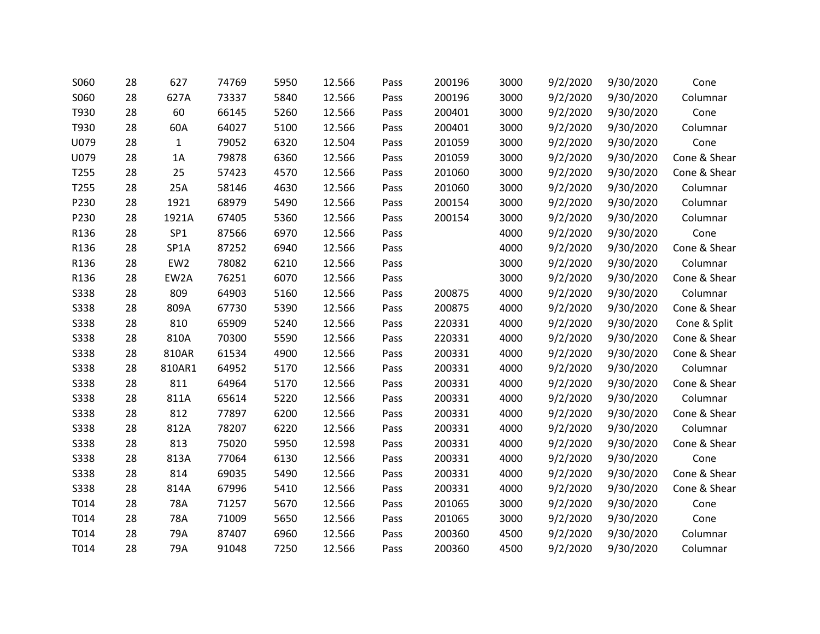| S060        | 28 | 627             | 74769 | 5950 | 12.566 | Pass | 200196 | 3000 | 9/2/2020 | 9/30/2020 | Cone         |
|-------------|----|-----------------|-------|------|--------|------|--------|------|----------|-----------|--------------|
| S060        | 28 | 627A            | 73337 | 5840 | 12.566 | Pass | 200196 | 3000 | 9/2/2020 | 9/30/2020 | Columnar     |
| T930        | 28 | 60              | 66145 | 5260 | 12.566 | Pass | 200401 | 3000 | 9/2/2020 | 9/30/2020 | Cone         |
| T930        | 28 | 60A             | 64027 | 5100 | 12.566 | Pass | 200401 | 3000 | 9/2/2020 | 9/30/2020 | Columnar     |
| U079        | 28 | 1               | 79052 | 6320 | 12.504 | Pass | 201059 | 3000 | 9/2/2020 | 9/30/2020 | Cone         |
| U079        | 28 | 1A              | 79878 | 6360 | 12.566 | Pass | 201059 | 3000 | 9/2/2020 | 9/30/2020 | Cone & Shear |
| T255        | 28 | 25              | 57423 | 4570 | 12.566 | Pass | 201060 | 3000 | 9/2/2020 | 9/30/2020 | Cone & Shear |
| T255        | 28 | 25A             | 58146 | 4630 | 12.566 | Pass | 201060 | 3000 | 9/2/2020 | 9/30/2020 | Columnar     |
| P230        | 28 | 1921            | 68979 | 5490 | 12.566 | Pass | 200154 | 3000 | 9/2/2020 | 9/30/2020 | Columnar     |
| P230        | 28 | 1921A           | 67405 | 5360 | 12.566 | Pass | 200154 | 3000 | 9/2/2020 | 9/30/2020 | Columnar     |
| R136        | 28 | SP <sub>1</sub> | 87566 | 6970 | 12.566 | Pass |        | 4000 | 9/2/2020 | 9/30/2020 | Cone         |
| R136        | 28 | SP1A            | 87252 | 6940 | 12.566 | Pass |        | 4000 | 9/2/2020 | 9/30/2020 | Cone & Shear |
| R136        | 28 | EW <sub>2</sub> | 78082 | 6210 | 12.566 | Pass |        | 3000 | 9/2/2020 | 9/30/2020 | Columnar     |
| R136        | 28 | EW2A            | 76251 | 6070 | 12.566 | Pass |        | 3000 | 9/2/2020 | 9/30/2020 | Cone & Shear |
| <b>S338</b> | 28 | 809             | 64903 | 5160 | 12.566 | Pass | 200875 | 4000 | 9/2/2020 | 9/30/2020 | Columnar     |
| <b>S338</b> | 28 | 809A            | 67730 | 5390 | 12.566 | Pass | 200875 | 4000 | 9/2/2020 | 9/30/2020 | Cone & Shear |
| <b>S338</b> | 28 | 810             | 65909 | 5240 | 12.566 | Pass | 220331 | 4000 | 9/2/2020 | 9/30/2020 | Cone & Split |
| <b>S338</b> | 28 | 810A            | 70300 | 5590 | 12.566 | Pass | 220331 | 4000 | 9/2/2020 | 9/30/2020 | Cone & Shear |
| <b>S338</b> | 28 | 810AR           | 61534 | 4900 | 12.566 | Pass | 200331 | 4000 | 9/2/2020 | 9/30/2020 | Cone & Shear |
| <b>S338</b> | 28 | 810AR1          | 64952 | 5170 | 12.566 | Pass | 200331 | 4000 | 9/2/2020 | 9/30/2020 | Columnar     |
| <b>S338</b> | 28 | 811             | 64964 | 5170 | 12.566 | Pass | 200331 | 4000 | 9/2/2020 | 9/30/2020 | Cone & Shear |
| <b>S338</b> | 28 | 811A            | 65614 | 5220 | 12.566 | Pass | 200331 | 4000 | 9/2/2020 | 9/30/2020 | Columnar     |
| <b>S338</b> | 28 | 812             | 77897 | 6200 | 12.566 | Pass | 200331 | 4000 | 9/2/2020 | 9/30/2020 | Cone & Shear |
| <b>S338</b> | 28 | 812A            | 78207 | 6220 | 12.566 | Pass | 200331 | 4000 | 9/2/2020 | 9/30/2020 | Columnar     |
| <b>S338</b> | 28 | 813             | 75020 | 5950 | 12.598 | Pass | 200331 | 4000 | 9/2/2020 | 9/30/2020 | Cone & Shear |
| <b>S338</b> | 28 | 813A            | 77064 | 6130 | 12.566 | Pass | 200331 | 4000 | 9/2/2020 | 9/30/2020 | Cone         |
| <b>S338</b> | 28 | 814             | 69035 | 5490 | 12.566 | Pass | 200331 | 4000 | 9/2/2020 | 9/30/2020 | Cone & Shear |
| <b>S338</b> | 28 | 814A            | 67996 | 5410 | 12.566 | Pass | 200331 | 4000 | 9/2/2020 | 9/30/2020 | Cone & Shear |
| T014        | 28 | 78A             | 71257 | 5670 | 12.566 | Pass | 201065 | 3000 | 9/2/2020 | 9/30/2020 | Cone         |
| T014        | 28 | 78A             | 71009 | 5650 | 12.566 | Pass | 201065 | 3000 | 9/2/2020 | 9/30/2020 | Cone         |
| T014        | 28 | 79A             | 87407 | 6960 | 12.566 | Pass | 200360 | 4500 | 9/2/2020 | 9/30/2020 | Columnar     |
| T014        | 28 | 79A             | 91048 | 7250 | 12.566 | Pass | 200360 | 4500 | 9/2/2020 | 9/30/2020 | Columnar     |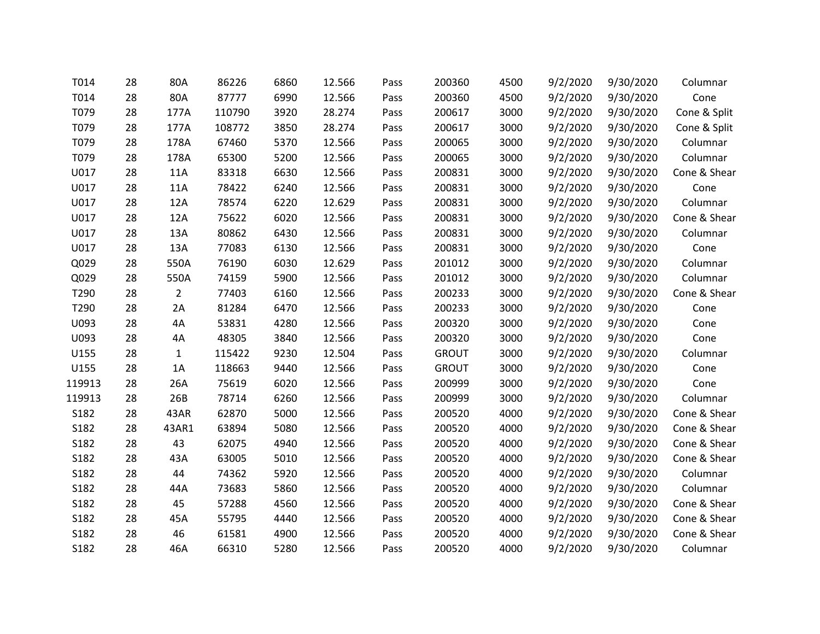| T014   | 28 | 80A            | 86226  | 6860 | 12.566 | Pass | 200360       | 4500 | 9/2/2020 | 9/30/2020 | Columnar     |
|--------|----|----------------|--------|------|--------|------|--------------|------|----------|-----------|--------------|
| T014   | 28 | 80A            | 87777  | 6990 | 12.566 | Pass | 200360       | 4500 | 9/2/2020 | 9/30/2020 | Cone         |
| T079   | 28 | 177A           | 110790 | 3920 | 28.274 | Pass | 200617       | 3000 | 9/2/2020 | 9/30/2020 | Cone & Split |
| T079   | 28 | 177A           | 108772 | 3850 | 28.274 | Pass | 200617       | 3000 | 9/2/2020 | 9/30/2020 | Cone & Split |
| T079   | 28 | 178A           | 67460  | 5370 | 12.566 | Pass | 200065       | 3000 | 9/2/2020 | 9/30/2020 | Columnar     |
| T079   | 28 | 178A           | 65300  | 5200 | 12.566 | Pass | 200065       | 3000 | 9/2/2020 | 9/30/2020 | Columnar     |
| U017   | 28 | 11A            | 83318  | 6630 | 12.566 | Pass | 200831       | 3000 | 9/2/2020 | 9/30/2020 | Cone & Shear |
| U017   | 28 | 11A            | 78422  | 6240 | 12.566 | Pass | 200831       | 3000 | 9/2/2020 | 9/30/2020 | Cone         |
| U017   | 28 | 12A            | 78574  | 6220 | 12.629 | Pass | 200831       | 3000 | 9/2/2020 | 9/30/2020 | Columnar     |
| U017   | 28 | 12A            | 75622  | 6020 | 12.566 | Pass | 200831       | 3000 | 9/2/2020 | 9/30/2020 | Cone & Shear |
| U017   | 28 | 13A            | 80862  | 6430 | 12.566 | Pass | 200831       | 3000 | 9/2/2020 | 9/30/2020 | Columnar     |
| U017   | 28 | 13A            | 77083  | 6130 | 12.566 | Pass | 200831       | 3000 | 9/2/2020 | 9/30/2020 | Cone         |
| Q029   | 28 | 550A           | 76190  | 6030 | 12.629 | Pass | 201012       | 3000 | 9/2/2020 | 9/30/2020 | Columnar     |
| Q029   | 28 | 550A           | 74159  | 5900 | 12.566 | Pass | 201012       | 3000 | 9/2/2020 | 9/30/2020 | Columnar     |
| T290   | 28 | $\overline{2}$ | 77403  | 6160 | 12.566 | Pass | 200233       | 3000 | 9/2/2020 | 9/30/2020 | Cone & Shear |
| T290   | 28 | 2A             | 81284  | 6470 | 12.566 | Pass | 200233       | 3000 | 9/2/2020 | 9/30/2020 | Cone         |
| U093   | 28 | 4A             | 53831  | 4280 | 12.566 | Pass | 200320       | 3000 | 9/2/2020 | 9/30/2020 | Cone         |
| U093   | 28 | 4A             | 48305  | 3840 | 12.566 | Pass | 200320       | 3000 | 9/2/2020 | 9/30/2020 | Cone         |
| U155   | 28 | 1              | 115422 | 9230 | 12.504 | Pass | <b>GROUT</b> | 3000 | 9/2/2020 | 9/30/2020 | Columnar     |
| U155   | 28 | 1A             | 118663 | 9440 | 12.566 | Pass | <b>GROUT</b> | 3000 | 9/2/2020 | 9/30/2020 | Cone         |
| 119913 | 28 | 26A            | 75619  | 6020 | 12.566 | Pass | 200999       | 3000 | 9/2/2020 | 9/30/2020 | Cone         |
| 119913 | 28 | 26B            | 78714  | 6260 | 12.566 | Pass | 200999       | 3000 | 9/2/2020 | 9/30/2020 | Columnar     |
| S182   | 28 | 43AR           | 62870  | 5000 | 12.566 | Pass | 200520       | 4000 | 9/2/2020 | 9/30/2020 | Cone & Shear |
| S182   | 28 | 43AR1          | 63894  | 5080 | 12.566 | Pass | 200520       | 4000 | 9/2/2020 | 9/30/2020 | Cone & Shear |
| S182   | 28 | 43             | 62075  | 4940 | 12.566 | Pass | 200520       | 4000 | 9/2/2020 | 9/30/2020 | Cone & Shear |
| S182   | 28 | 43A            | 63005  | 5010 | 12.566 | Pass | 200520       | 4000 | 9/2/2020 | 9/30/2020 | Cone & Shear |
| S182   | 28 | 44             | 74362  | 5920 | 12.566 | Pass | 200520       | 4000 | 9/2/2020 | 9/30/2020 | Columnar     |
| S182   | 28 | 44A            | 73683  | 5860 | 12.566 | Pass | 200520       | 4000 | 9/2/2020 | 9/30/2020 | Columnar     |
| S182   | 28 | 45             | 57288  | 4560 | 12.566 | Pass | 200520       | 4000 | 9/2/2020 | 9/30/2020 | Cone & Shear |
| S182   | 28 | 45A            | 55795  | 4440 | 12.566 | Pass | 200520       | 4000 | 9/2/2020 | 9/30/2020 | Cone & Shear |
| S182   | 28 | 46             | 61581  | 4900 | 12.566 | Pass | 200520       | 4000 | 9/2/2020 | 9/30/2020 | Cone & Shear |
| S182   | 28 | 46A            | 66310  | 5280 | 12.566 | Pass | 200520       | 4000 | 9/2/2020 | 9/30/2020 | Columnar     |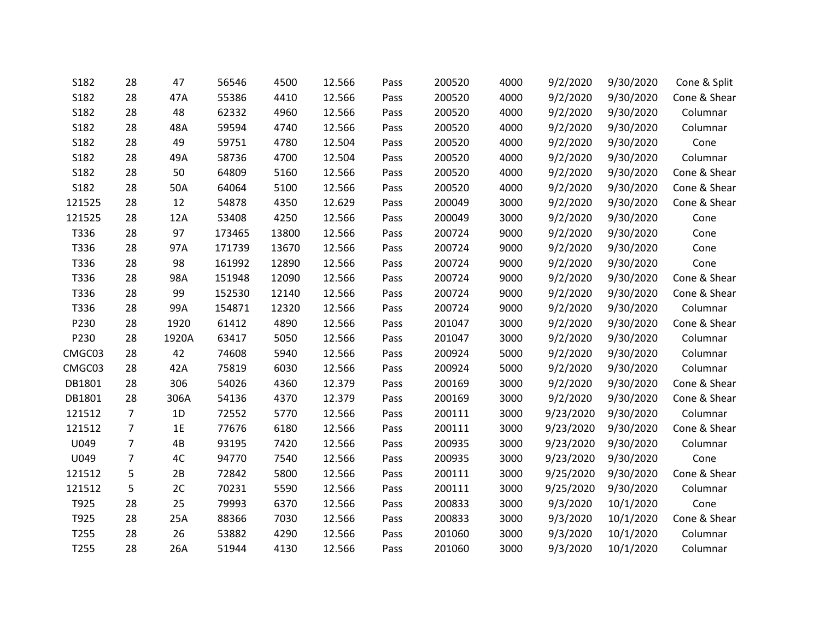| S182   | 28             | 47    | 56546  | 4500  | 12.566 | Pass | 200520 | 4000 | 9/2/2020  | 9/30/2020 | Cone & Split |
|--------|----------------|-------|--------|-------|--------|------|--------|------|-----------|-----------|--------------|
| S182   | 28             | 47A   | 55386  | 4410  | 12.566 | Pass | 200520 | 4000 | 9/2/2020  | 9/30/2020 | Cone & Shear |
| S182   | 28             | 48    | 62332  | 4960  | 12.566 | Pass | 200520 | 4000 | 9/2/2020  | 9/30/2020 | Columnar     |
| S182   | 28             | 48A   | 59594  | 4740  | 12.566 | Pass | 200520 | 4000 | 9/2/2020  | 9/30/2020 | Columnar     |
| S182   | 28             | 49    | 59751  | 4780  | 12.504 | Pass | 200520 | 4000 | 9/2/2020  | 9/30/2020 | Cone         |
| S182   | 28             | 49A   | 58736  | 4700  | 12.504 | Pass | 200520 | 4000 | 9/2/2020  | 9/30/2020 | Columnar     |
| S182   | 28             | 50    | 64809  | 5160  | 12.566 | Pass | 200520 | 4000 | 9/2/2020  | 9/30/2020 | Cone & Shear |
| S182   | 28             | 50A   | 64064  | 5100  | 12.566 | Pass | 200520 | 4000 | 9/2/2020  | 9/30/2020 | Cone & Shear |
| 121525 | 28             | 12    | 54878  | 4350  | 12.629 | Pass | 200049 | 3000 | 9/2/2020  | 9/30/2020 | Cone & Shear |
| 121525 | 28             | 12A   | 53408  | 4250  | 12.566 | Pass | 200049 | 3000 | 9/2/2020  | 9/30/2020 | Cone         |
| T336   | 28             | 97    | 173465 | 13800 | 12.566 | Pass | 200724 | 9000 | 9/2/2020  | 9/30/2020 | Cone         |
| T336   | 28             | 97A   | 171739 | 13670 | 12.566 | Pass | 200724 | 9000 | 9/2/2020  | 9/30/2020 | Cone         |
| T336   | 28             | 98    | 161992 | 12890 | 12.566 | Pass | 200724 | 9000 | 9/2/2020  | 9/30/2020 | Cone         |
| T336   | 28             | 98A   | 151948 | 12090 | 12.566 | Pass | 200724 | 9000 | 9/2/2020  | 9/30/2020 | Cone & Shear |
| T336   | 28             | 99    | 152530 | 12140 | 12.566 | Pass | 200724 | 9000 | 9/2/2020  | 9/30/2020 | Cone & Shear |
| T336   | 28             | 99A   | 154871 | 12320 | 12.566 | Pass | 200724 | 9000 | 9/2/2020  | 9/30/2020 | Columnar     |
| P230   | 28             | 1920  | 61412  | 4890  | 12.566 | Pass | 201047 | 3000 | 9/2/2020  | 9/30/2020 | Cone & Shear |
| P230   | 28             | 1920A | 63417  | 5050  | 12.566 | Pass | 201047 | 3000 | 9/2/2020  | 9/30/2020 | Columnar     |
| CMGC03 | 28             | 42    | 74608  | 5940  | 12.566 | Pass | 200924 | 5000 | 9/2/2020  | 9/30/2020 | Columnar     |
| CMGC03 | 28             | 42A   | 75819  | 6030  | 12.566 | Pass | 200924 | 5000 | 9/2/2020  | 9/30/2020 | Columnar     |
| DB1801 | 28             | 306   | 54026  | 4360  | 12.379 | Pass | 200169 | 3000 | 9/2/2020  | 9/30/2020 | Cone & Shear |
| DB1801 | 28             | 306A  | 54136  | 4370  | 12.379 | Pass | 200169 | 3000 | 9/2/2020  | 9/30/2020 | Cone & Shear |
| 121512 | 7              | 1D    | 72552  | 5770  | 12.566 | Pass | 200111 | 3000 | 9/23/2020 | 9/30/2020 | Columnar     |
| 121512 | $\overline{7}$ | 1E    | 77676  | 6180  | 12.566 | Pass | 200111 | 3000 | 9/23/2020 | 9/30/2020 | Cone & Shear |
| U049   | $\overline{7}$ | 4B    | 93195  | 7420  | 12.566 | Pass | 200935 | 3000 | 9/23/2020 | 9/30/2020 | Columnar     |
| U049   | $\overline{7}$ | 4C    | 94770  | 7540  | 12.566 | Pass | 200935 | 3000 | 9/23/2020 | 9/30/2020 | Cone         |
| 121512 | 5              | 2B    | 72842  | 5800  | 12.566 | Pass | 200111 | 3000 | 9/25/2020 | 9/30/2020 | Cone & Shear |
| 121512 | 5              | 2C    | 70231  | 5590  | 12.566 | Pass | 200111 | 3000 | 9/25/2020 | 9/30/2020 | Columnar     |
| T925   | 28             | 25    | 79993  | 6370  | 12.566 | Pass | 200833 | 3000 | 9/3/2020  | 10/1/2020 | Cone         |
| T925   | 28             | 25A   | 88366  | 7030  | 12.566 | Pass | 200833 | 3000 | 9/3/2020  | 10/1/2020 | Cone & Shear |
| T255   | 28             | 26    | 53882  | 4290  | 12.566 | Pass | 201060 | 3000 | 9/3/2020  | 10/1/2020 | Columnar     |
| T255   | 28             | 26A   | 51944  | 4130  | 12.566 | Pass | 201060 | 3000 | 9/3/2020  | 10/1/2020 | Columnar     |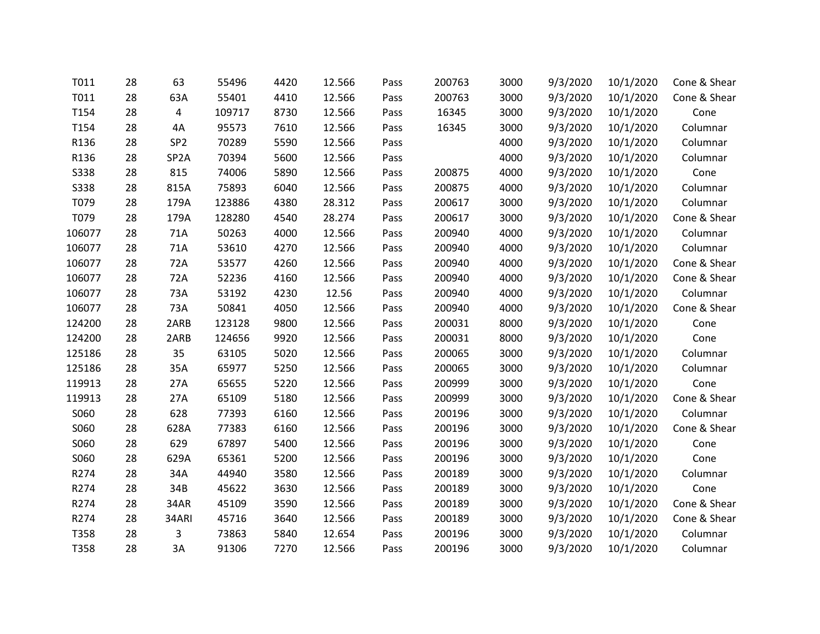| T011        | 28 | 63                | 55496  | 4420 | 12.566 | Pass | 200763 | 3000 | 9/3/2020 | 10/1/2020 | Cone & Shear |
|-------------|----|-------------------|--------|------|--------|------|--------|------|----------|-----------|--------------|
| T011        | 28 | 63A               | 55401  | 4410 | 12.566 | Pass | 200763 | 3000 | 9/3/2020 | 10/1/2020 | Cone & Shear |
| T154        | 28 | 4                 | 109717 | 8730 | 12.566 | Pass | 16345  | 3000 | 9/3/2020 | 10/1/2020 | Cone         |
| T154        | 28 | 4A                | 95573  | 7610 | 12.566 | Pass | 16345  | 3000 | 9/3/2020 | 10/1/2020 | Columnar     |
| R136        | 28 | SP <sub>2</sub>   | 70289  | 5590 | 12.566 | Pass |        | 4000 | 9/3/2020 | 10/1/2020 | Columnar     |
| R136        | 28 | SP <sub>2</sub> A | 70394  | 5600 | 12.566 | Pass |        | 4000 | 9/3/2020 | 10/1/2020 | Columnar     |
| <b>S338</b> | 28 | 815               | 74006  | 5890 | 12.566 | Pass | 200875 | 4000 | 9/3/2020 | 10/1/2020 | Cone         |
| <b>S338</b> | 28 | 815A              | 75893  | 6040 | 12.566 | Pass | 200875 | 4000 | 9/3/2020 | 10/1/2020 | Columnar     |
| T079        | 28 | 179A              | 123886 | 4380 | 28.312 | Pass | 200617 | 3000 | 9/3/2020 | 10/1/2020 | Columnar     |
| T079        | 28 | 179A              | 128280 | 4540 | 28.274 | Pass | 200617 | 3000 | 9/3/2020 | 10/1/2020 | Cone & Shear |
| 106077      | 28 | 71A               | 50263  | 4000 | 12.566 | Pass | 200940 | 4000 | 9/3/2020 | 10/1/2020 | Columnar     |
| 106077      | 28 | 71A               | 53610  | 4270 | 12.566 | Pass | 200940 | 4000 | 9/3/2020 | 10/1/2020 | Columnar     |
| 106077      | 28 | 72A               | 53577  | 4260 | 12.566 | Pass | 200940 | 4000 | 9/3/2020 | 10/1/2020 | Cone & Shear |
| 106077      | 28 | 72A               | 52236  | 4160 | 12.566 | Pass | 200940 | 4000 | 9/3/2020 | 10/1/2020 | Cone & Shear |
| 106077      | 28 | 73A               | 53192  | 4230 | 12.56  | Pass | 200940 | 4000 | 9/3/2020 | 10/1/2020 | Columnar     |
| 106077      | 28 | 73A               | 50841  | 4050 | 12.566 | Pass | 200940 | 4000 | 9/3/2020 | 10/1/2020 | Cone & Shear |
| 124200      | 28 | 2ARB              | 123128 | 9800 | 12.566 | Pass | 200031 | 8000 | 9/3/2020 | 10/1/2020 | Cone         |
| 124200      | 28 | 2ARB              | 124656 | 9920 | 12.566 | Pass | 200031 | 8000 | 9/3/2020 | 10/1/2020 | Cone         |
| 125186      | 28 | 35                | 63105  | 5020 | 12.566 | Pass | 200065 | 3000 | 9/3/2020 | 10/1/2020 | Columnar     |
| 125186      | 28 | 35A               | 65977  | 5250 | 12.566 | Pass | 200065 | 3000 | 9/3/2020 | 10/1/2020 | Columnar     |
| 119913      | 28 | 27A               | 65655  | 5220 | 12.566 | Pass | 200999 | 3000 | 9/3/2020 | 10/1/2020 | Cone         |
| 119913      | 28 | 27A               | 65109  | 5180 | 12.566 | Pass | 200999 | 3000 | 9/3/2020 | 10/1/2020 | Cone & Shear |
| S060        | 28 | 628               | 77393  | 6160 | 12.566 | Pass | 200196 | 3000 | 9/3/2020 | 10/1/2020 | Columnar     |
| S060        | 28 | 628A              | 77383  | 6160 | 12.566 | Pass | 200196 | 3000 | 9/3/2020 | 10/1/2020 | Cone & Shear |
| S060        | 28 | 629               | 67897  | 5400 | 12.566 | Pass | 200196 | 3000 | 9/3/2020 | 10/1/2020 | Cone         |
| S060        | 28 | 629A              | 65361  | 5200 | 12.566 | Pass | 200196 | 3000 | 9/3/2020 | 10/1/2020 | Cone         |
| R274        | 28 | 34A               | 44940  | 3580 | 12.566 | Pass | 200189 | 3000 | 9/3/2020 | 10/1/2020 | Columnar     |
| R274        | 28 | 34B               | 45622  | 3630 | 12.566 | Pass | 200189 | 3000 | 9/3/2020 | 10/1/2020 | Cone         |
| R274        | 28 | 34AR              | 45109  | 3590 | 12.566 | Pass | 200189 | 3000 | 9/3/2020 | 10/1/2020 | Cone & Shear |
| R274        | 28 | 34ARI             | 45716  | 3640 | 12.566 | Pass | 200189 | 3000 | 9/3/2020 | 10/1/2020 | Cone & Shear |
| T358        | 28 | 3                 | 73863  | 5840 | 12.654 | Pass | 200196 | 3000 | 9/3/2020 | 10/1/2020 | Columnar     |
| T358        | 28 | 3A                | 91306  | 7270 | 12.566 | Pass | 200196 | 3000 | 9/3/2020 | 10/1/2020 | Columnar     |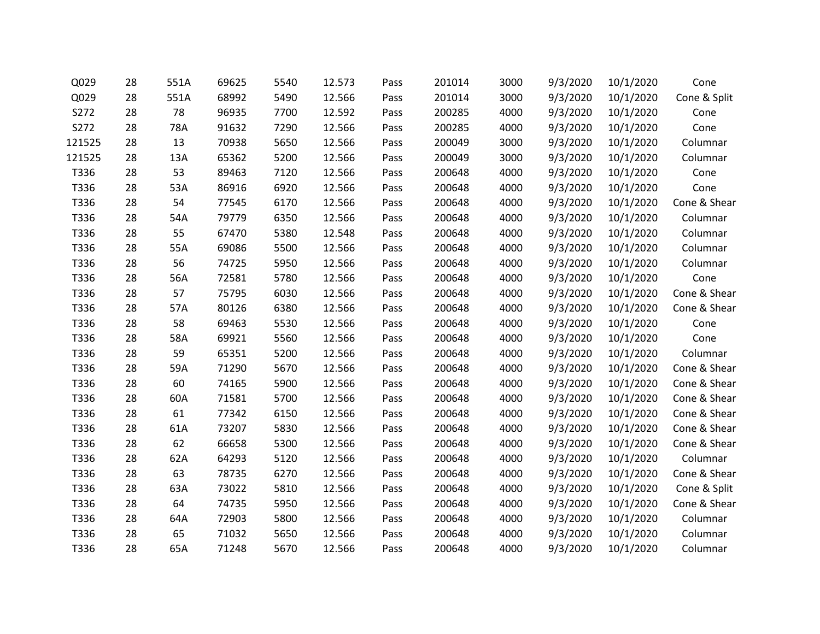| Q029   | 28 | 551A | 69625 | 5540 | 12.573 | Pass | 201014 | 3000 | 9/3/2020 | 10/1/2020 | Cone         |
|--------|----|------|-------|------|--------|------|--------|------|----------|-----------|--------------|
| Q029   | 28 | 551A | 68992 | 5490 | 12.566 | Pass | 201014 | 3000 | 9/3/2020 | 10/1/2020 | Cone & Split |
| S272   | 28 | 78   | 96935 | 7700 | 12.592 | Pass | 200285 | 4000 | 9/3/2020 | 10/1/2020 | Cone         |
| S272   | 28 | 78A  | 91632 | 7290 | 12.566 | Pass | 200285 | 4000 | 9/3/2020 | 10/1/2020 | Cone         |
| 121525 | 28 | 13   | 70938 | 5650 | 12.566 | Pass | 200049 | 3000 | 9/3/2020 | 10/1/2020 | Columnar     |
| 121525 | 28 | 13A  | 65362 | 5200 | 12.566 | Pass | 200049 | 3000 | 9/3/2020 | 10/1/2020 | Columnar     |
| T336   | 28 | 53   | 89463 | 7120 | 12.566 | Pass | 200648 | 4000 | 9/3/2020 | 10/1/2020 | Cone         |
| T336   | 28 | 53A  | 86916 | 6920 | 12.566 | Pass | 200648 | 4000 | 9/3/2020 | 10/1/2020 | Cone         |
| T336   | 28 | 54   | 77545 | 6170 | 12.566 | Pass | 200648 | 4000 | 9/3/2020 | 10/1/2020 | Cone & Shear |
| T336   | 28 | 54A  | 79779 | 6350 | 12.566 | Pass | 200648 | 4000 | 9/3/2020 | 10/1/2020 | Columnar     |
| T336   | 28 | 55   | 67470 | 5380 | 12.548 | Pass | 200648 | 4000 | 9/3/2020 | 10/1/2020 | Columnar     |
| T336   | 28 | 55A  | 69086 | 5500 | 12.566 | Pass | 200648 | 4000 | 9/3/2020 | 10/1/2020 | Columnar     |
| T336   | 28 | 56   | 74725 | 5950 | 12.566 | Pass | 200648 | 4000 | 9/3/2020 | 10/1/2020 | Columnar     |
| T336   | 28 | 56A  | 72581 | 5780 | 12.566 | Pass | 200648 | 4000 | 9/3/2020 | 10/1/2020 | Cone         |
| T336   | 28 | 57   | 75795 | 6030 | 12.566 | Pass | 200648 | 4000 | 9/3/2020 | 10/1/2020 | Cone & Shear |
| T336   | 28 | 57A  | 80126 | 6380 | 12.566 | Pass | 200648 | 4000 | 9/3/2020 | 10/1/2020 | Cone & Shear |
| T336   | 28 | 58   | 69463 | 5530 | 12.566 | Pass | 200648 | 4000 | 9/3/2020 | 10/1/2020 | Cone         |
| T336   | 28 | 58A  | 69921 | 5560 | 12.566 | Pass | 200648 | 4000 | 9/3/2020 | 10/1/2020 | Cone         |
| T336   | 28 | 59   | 65351 | 5200 | 12.566 | Pass | 200648 | 4000 | 9/3/2020 | 10/1/2020 | Columnar     |
| T336   | 28 | 59A  | 71290 | 5670 | 12.566 | Pass | 200648 | 4000 | 9/3/2020 | 10/1/2020 | Cone & Shear |
| T336   | 28 | 60   | 74165 | 5900 | 12.566 | Pass | 200648 | 4000 | 9/3/2020 | 10/1/2020 | Cone & Shear |
| T336   | 28 | 60A  | 71581 | 5700 | 12.566 | Pass | 200648 | 4000 | 9/3/2020 | 10/1/2020 | Cone & Shear |
| T336   | 28 | 61   | 77342 | 6150 | 12.566 | Pass | 200648 | 4000 | 9/3/2020 | 10/1/2020 | Cone & Shear |
| T336   | 28 | 61A  | 73207 | 5830 | 12.566 | Pass | 200648 | 4000 | 9/3/2020 | 10/1/2020 | Cone & Shear |
| T336   | 28 | 62   | 66658 | 5300 | 12.566 | Pass | 200648 | 4000 | 9/3/2020 | 10/1/2020 | Cone & Shear |
| T336   | 28 | 62A  | 64293 | 5120 | 12.566 | Pass | 200648 | 4000 | 9/3/2020 | 10/1/2020 | Columnar     |
| T336   | 28 | 63   | 78735 | 6270 | 12.566 | Pass | 200648 | 4000 | 9/3/2020 | 10/1/2020 | Cone & Shear |
| T336   | 28 | 63A  | 73022 | 5810 | 12.566 | Pass | 200648 | 4000 | 9/3/2020 | 10/1/2020 | Cone & Split |
| T336   | 28 | 64   | 74735 | 5950 | 12.566 | Pass | 200648 | 4000 | 9/3/2020 | 10/1/2020 | Cone & Shear |
| T336   | 28 | 64A  | 72903 | 5800 | 12.566 | Pass | 200648 | 4000 | 9/3/2020 | 10/1/2020 | Columnar     |
| T336   | 28 | 65   | 71032 | 5650 | 12.566 | Pass | 200648 | 4000 | 9/3/2020 | 10/1/2020 | Columnar     |
| T336   | 28 | 65A  | 71248 | 5670 | 12.566 | Pass | 200648 | 4000 | 9/3/2020 | 10/1/2020 | Columnar     |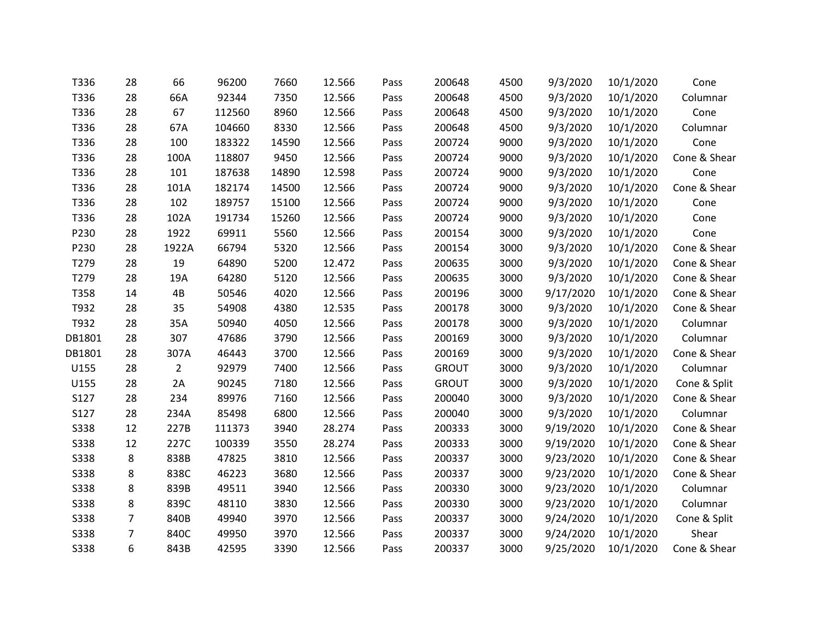| T336        | 28             | 66             | 96200  | 7660  | 12.566 | Pass | 200648       | 4500 | 9/3/2020  | 10/1/2020 | Cone         |
|-------------|----------------|----------------|--------|-------|--------|------|--------------|------|-----------|-----------|--------------|
| T336        | 28             | 66A            | 92344  | 7350  | 12.566 | Pass | 200648       | 4500 | 9/3/2020  | 10/1/2020 | Columnar     |
| T336        | 28             | 67             | 112560 | 8960  | 12.566 | Pass | 200648       | 4500 | 9/3/2020  | 10/1/2020 | Cone         |
| T336        | 28             | 67A            | 104660 | 8330  | 12.566 | Pass | 200648       | 4500 | 9/3/2020  | 10/1/2020 | Columnar     |
| T336        | 28             | 100            | 183322 | 14590 | 12.566 | Pass | 200724       | 9000 | 9/3/2020  | 10/1/2020 | Cone         |
| T336        | 28             | 100A           | 118807 | 9450  | 12.566 | Pass | 200724       | 9000 | 9/3/2020  | 10/1/2020 | Cone & Shear |
| T336        | 28             | 101            | 187638 | 14890 | 12.598 | Pass | 200724       | 9000 | 9/3/2020  | 10/1/2020 | Cone         |
| T336        | 28             | 101A           | 182174 | 14500 | 12.566 | Pass | 200724       | 9000 | 9/3/2020  | 10/1/2020 | Cone & Shear |
| T336        | 28             | 102            | 189757 | 15100 | 12.566 | Pass | 200724       | 9000 | 9/3/2020  | 10/1/2020 | Cone         |
| T336        | 28             | 102A           | 191734 | 15260 | 12.566 | Pass | 200724       | 9000 | 9/3/2020  | 10/1/2020 | Cone         |
| P230        | 28             | 1922           | 69911  | 5560  | 12.566 | Pass | 200154       | 3000 | 9/3/2020  | 10/1/2020 | Cone         |
| P230        | 28             | 1922A          | 66794  | 5320  | 12.566 | Pass | 200154       | 3000 | 9/3/2020  | 10/1/2020 | Cone & Shear |
| T279        | 28             | 19             | 64890  | 5200  | 12.472 | Pass | 200635       | 3000 | 9/3/2020  | 10/1/2020 | Cone & Shear |
| T279        | 28             | 19A            | 64280  | 5120  | 12.566 | Pass | 200635       | 3000 | 9/3/2020  | 10/1/2020 | Cone & Shear |
| T358        | 14             | 4B             | 50546  | 4020  | 12.566 | Pass | 200196       | 3000 | 9/17/2020 | 10/1/2020 | Cone & Shear |
| T932        | 28             | 35             | 54908  | 4380  | 12.535 | Pass | 200178       | 3000 | 9/3/2020  | 10/1/2020 | Cone & Shear |
| T932        | 28             | 35A            | 50940  | 4050  | 12.566 | Pass | 200178       | 3000 | 9/3/2020  | 10/1/2020 | Columnar     |
| DB1801      | 28             | 307            | 47686  | 3790  | 12.566 | Pass | 200169       | 3000 | 9/3/2020  | 10/1/2020 | Columnar     |
| DB1801      | 28             | 307A           | 46443  | 3700  | 12.566 | Pass | 200169       | 3000 | 9/3/2020  | 10/1/2020 | Cone & Shear |
| U155        | 28             | $\overline{2}$ | 92979  | 7400  | 12.566 | Pass | <b>GROUT</b> | 3000 | 9/3/2020  | 10/1/2020 | Columnar     |
| U155        | 28             | 2A             | 90245  | 7180  | 12.566 | Pass | <b>GROUT</b> | 3000 | 9/3/2020  | 10/1/2020 | Cone & Split |
| S127        | 28             | 234            | 89976  | 7160  | 12.566 | Pass | 200040       | 3000 | 9/3/2020  | 10/1/2020 | Cone & Shear |
| S127        | 28             | 234A           | 85498  | 6800  | 12.566 | Pass | 200040       | 3000 | 9/3/2020  | 10/1/2020 | Columnar     |
| <b>S338</b> | 12             | 227B           | 111373 | 3940  | 28.274 | Pass | 200333       | 3000 | 9/19/2020 | 10/1/2020 | Cone & Shear |
| <b>S338</b> | 12             | 227C           | 100339 | 3550  | 28.274 | Pass | 200333       | 3000 | 9/19/2020 | 10/1/2020 | Cone & Shear |
| <b>S338</b> | 8              | 838B           | 47825  | 3810  | 12.566 | Pass | 200337       | 3000 | 9/23/2020 | 10/1/2020 | Cone & Shear |
| <b>S338</b> | 8              | 838C           | 46223  | 3680  | 12.566 | Pass | 200337       | 3000 | 9/23/2020 | 10/1/2020 | Cone & Shear |
| <b>S338</b> | 8              | 839B           | 49511  | 3940  | 12.566 | Pass | 200330       | 3000 | 9/23/2020 | 10/1/2020 | Columnar     |
| <b>S338</b> | 8              | 839C           | 48110  | 3830  | 12.566 | Pass | 200330       | 3000 | 9/23/2020 | 10/1/2020 | Columnar     |
| <b>S338</b> | $\overline{7}$ | 840B           | 49940  | 3970  | 12.566 | Pass | 200337       | 3000 | 9/24/2020 | 10/1/2020 | Cone & Split |
| <b>S338</b> | 7              | 840C           | 49950  | 3970  | 12.566 | Pass | 200337       | 3000 | 9/24/2020 | 10/1/2020 | Shear        |
| <b>S338</b> | 6              | 843B           | 42595  | 3390  | 12.566 | Pass | 200337       | 3000 | 9/25/2020 | 10/1/2020 | Cone & Shear |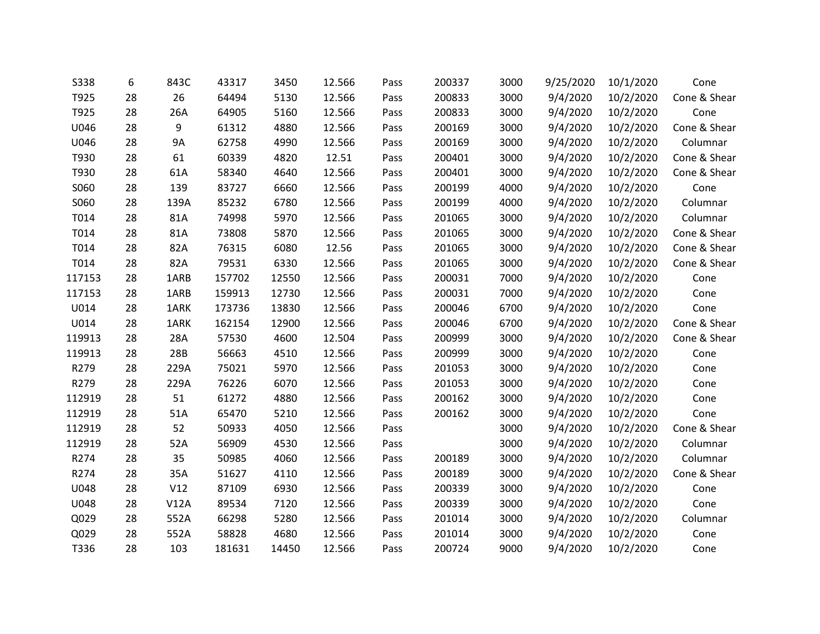| <b>S338</b> | 6  | 843C      | 43317  | 3450  | 12.566 | Pass | 200337 | 3000 | 9/25/2020 | 10/1/2020 | Cone         |
|-------------|----|-----------|--------|-------|--------|------|--------|------|-----------|-----------|--------------|
| T925        | 28 | 26        | 64494  | 5130  | 12.566 | Pass | 200833 | 3000 | 9/4/2020  | 10/2/2020 | Cone & Shear |
| T925        | 28 | 26A       | 64905  | 5160  | 12.566 | Pass | 200833 | 3000 | 9/4/2020  | 10/2/2020 | Cone         |
| U046        | 28 | 9         | 61312  | 4880  | 12.566 | Pass | 200169 | 3000 | 9/4/2020  | 10/2/2020 | Cone & Shear |
| U046        | 28 | <b>9A</b> | 62758  | 4990  | 12.566 | Pass | 200169 | 3000 | 9/4/2020  | 10/2/2020 | Columnar     |
| T930        | 28 | 61        | 60339  | 4820  | 12.51  | Pass | 200401 | 3000 | 9/4/2020  | 10/2/2020 | Cone & Shear |
| T930        | 28 | 61A       | 58340  | 4640  | 12.566 | Pass | 200401 | 3000 | 9/4/2020  | 10/2/2020 | Cone & Shear |
| S060        | 28 | 139       | 83727  | 6660  | 12.566 | Pass | 200199 | 4000 | 9/4/2020  | 10/2/2020 | Cone         |
| S060        | 28 | 139A      | 85232  | 6780  | 12.566 | Pass | 200199 | 4000 | 9/4/2020  | 10/2/2020 | Columnar     |
| T014        | 28 | 81A       | 74998  | 5970  | 12.566 | Pass | 201065 | 3000 | 9/4/2020  | 10/2/2020 | Columnar     |
| T014        | 28 | 81A       | 73808  | 5870  | 12.566 | Pass | 201065 | 3000 | 9/4/2020  | 10/2/2020 | Cone & Shear |
| T014        | 28 | 82A       | 76315  | 6080  | 12.56  | Pass | 201065 | 3000 | 9/4/2020  | 10/2/2020 | Cone & Shear |
| T014        | 28 | 82A       | 79531  | 6330  | 12.566 | Pass | 201065 | 3000 | 9/4/2020  | 10/2/2020 | Cone & Shear |
| 117153      | 28 | 1ARB      | 157702 | 12550 | 12.566 | Pass | 200031 | 7000 | 9/4/2020  | 10/2/2020 | Cone         |
| 117153      | 28 | 1ARB      | 159913 | 12730 | 12.566 | Pass | 200031 | 7000 | 9/4/2020  | 10/2/2020 | Cone         |
| U014        | 28 | 1ARK      | 173736 | 13830 | 12.566 | Pass | 200046 | 6700 | 9/4/2020  | 10/2/2020 | Cone         |
| U014        | 28 | 1ARK      | 162154 | 12900 | 12.566 | Pass | 200046 | 6700 | 9/4/2020  | 10/2/2020 | Cone & Shear |
| 119913      | 28 | 28A       | 57530  | 4600  | 12.504 | Pass | 200999 | 3000 | 9/4/2020  | 10/2/2020 | Cone & Shear |
| 119913      | 28 | 28B       | 56663  | 4510  | 12.566 | Pass | 200999 | 3000 | 9/4/2020  | 10/2/2020 | Cone         |
| R279        | 28 | 229A      | 75021  | 5970  | 12.566 | Pass | 201053 | 3000 | 9/4/2020  | 10/2/2020 | Cone         |
| R279        | 28 | 229A      | 76226  | 6070  | 12.566 | Pass | 201053 | 3000 | 9/4/2020  | 10/2/2020 | Cone         |
| 112919      | 28 | 51        | 61272  | 4880  | 12.566 | Pass | 200162 | 3000 | 9/4/2020  | 10/2/2020 | Cone         |
| 112919      | 28 | 51A       | 65470  | 5210  | 12.566 | Pass | 200162 | 3000 | 9/4/2020  | 10/2/2020 | Cone         |
| 112919      | 28 | 52        | 50933  | 4050  | 12.566 | Pass |        | 3000 | 9/4/2020  | 10/2/2020 | Cone & Shear |
| 112919      | 28 | 52A       | 56909  | 4530  | 12.566 | Pass |        | 3000 | 9/4/2020  | 10/2/2020 | Columnar     |
| R274        | 28 | 35        | 50985  | 4060  | 12.566 | Pass | 200189 | 3000 | 9/4/2020  | 10/2/2020 | Columnar     |
| R274        | 28 | 35A       | 51627  | 4110  | 12.566 | Pass | 200189 | 3000 | 9/4/2020  | 10/2/2020 | Cone & Shear |
| U048        | 28 | V12       | 87109  | 6930  | 12.566 | Pass | 200339 | 3000 | 9/4/2020  | 10/2/2020 | Cone         |
| U048        | 28 | V12A      | 89534  | 7120  | 12.566 | Pass | 200339 | 3000 | 9/4/2020  | 10/2/2020 | Cone         |
| Q029        | 28 | 552A      | 66298  | 5280  | 12.566 | Pass | 201014 | 3000 | 9/4/2020  | 10/2/2020 | Columnar     |
| Q029        | 28 | 552A      | 58828  | 4680  | 12.566 | Pass | 201014 | 3000 | 9/4/2020  | 10/2/2020 | Cone         |
| T336        | 28 | 103       | 181631 | 14450 | 12.566 | Pass | 200724 | 9000 | 9/4/2020  | 10/2/2020 | Cone         |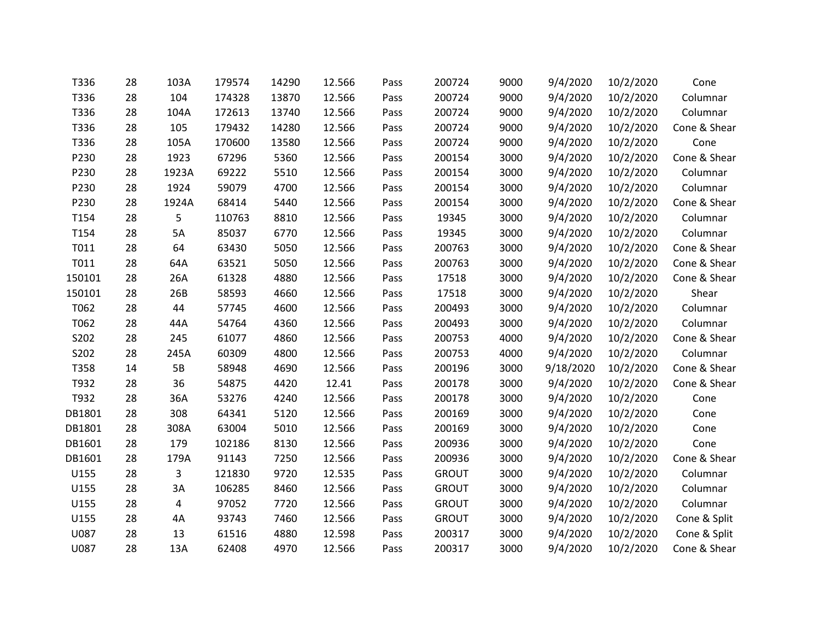| T336   | 28 | 103A      | 179574 | 14290 | 12.566 | Pass | 200724       | 9000 | 9/4/2020  | 10/2/2020 | Cone         |
|--------|----|-----------|--------|-------|--------|------|--------------|------|-----------|-----------|--------------|
| T336   | 28 | 104       | 174328 | 13870 | 12.566 | Pass | 200724       | 9000 | 9/4/2020  | 10/2/2020 | Columnar     |
| T336   | 28 | 104A      | 172613 | 13740 | 12.566 | Pass | 200724       | 9000 | 9/4/2020  | 10/2/2020 | Columnar     |
| T336   | 28 | 105       | 179432 | 14280 | 12.566 | Pass | 200724       | 9000 | 9/4/2020  | 10/2/2020 | Cone & Shear |
| T336   | 28 | 105A      | 170600 | 13580 | 12.566 | Pass | 200724       | 9000 | 9/4/2020  | 10/2/2020 | Cone         |
| P230   | 28 | 1923      | 67296  | 5360  | 12.566 | Pass | 200154       | 3000 | 9/4/2020  | 10/2/2020 | Cone & Shear |
| P230   | 28 | 1923A     | 69222  | 5510  | 12.566 | Pass | 200154       | 3000 | 9/4/2020  | 10/2/2020 | Columnar     |
| P230   | 28 | 1924      | 59079  | 4700  | 12.566 | Pass | 200154       | 3000 | 9/4/2020  | 10/2/2020 | Columnar     |
| P230   | 28 | 1924A     | 68414  | 5440  | 12.566 | Pass | 200154       | 3000 | 9/4/2020  | 10/2/2020 | Cone & Shear |
| T154   | 28 | 5         | 110763 | 8810  | 12.566 | Pass | 19345        | 3000 | 9/4/2020  | 10/2/2020 | Columnar     |
| T154   | 28 | 5A        | 85037  | 6770  | 12.566 | Pass | 19345        | 3000 | 9/4/2020  | 10/2/2020 | Columnar     |
| T011   | 28 | 64        | 63430  | 5050  | 12.566 | Pass | 200763       | 3000 | 9/4/2020  | 10/2/2020 | Cone & Shear |
| T011   | 28 | 64A       | 63521  | 5050  | 12.566 | Pass | 200763       | 3000 | 9/4/2020  | 10/2/2020 | Cone & Shear |
| 150101 | 28 | 26A       | 61328  | 4880  | 12.566 | Pass | 17518        | 3000 | 9/4/2020  | 10/2/2020 | Cone & Shear |
| 150101 | 28 | 26B       | 58593  | 4660  | 12.566 | Pass | 17518        | 3000 | 9/4/2020  | 10/2/2020 | Shear        |
| T062   | 28 | 44        | 57745  | 4600  | 12.566 | Pass | 200493       | 3000 | 9/4/2020  | 10/2/2020 | Columnar     |
| T062   | 28 | 44A       | 54764  | 4360  | 12.566 | Pass | 200493       | 3000 | 9/4/2020  | 10/2/2020 | Columnar     |
| S202   | 28 | 245       | 61077  | 4860  | 12.566 | Pass | 200753       | 4000 | 9/4/2020  | 10/2/2020 | Cone & Shear |
| S202   | 28 | 245A      | 60309  | 4800  | 12.566 | Pass | 200753       | 4000 | 9/4/2020  | 10/2/2020 | Columnar     |
| T358   | 14 | <b>5B</b> | 58948  | 4690  | 12.566 | Pass | 200196       | 3000 | 9/18/2020 | 10/2/2020 | Cone & Shear |
| T932   | 28 | 36        | 54875  | 4420  | 12.41  | Pass | 200178       | 3000 | 9/4/2020  | 10/2/2020 | Cone & Shear |
| T932   | 28 | 36A       | 53276  | 4240  | 12.566 | Pass | 200178       | 3000 | 9/4/2020  | 10/2/2020 | Cone         |
| DB1801 | 28 | 308       | 64341  | 5120  | 12.566 | Pass | 200169       | 3000 | 9/4/2020  | 10/2/2020 | Cone         |
| DB1801 | 28 | 308A      | 63004  | 5010  | 12.566 | Pass | 200169       | 3000 | 9/4/2020  | 10/2/2020 | Cone         |
| DB1601 | 28 | 179       | 102186 | 8130  | 12.566 | Pass | 200936       | 3000 | 9/4/2020  | 10/2/2020 | Cone         |
| DB1601 | 28 | 179A      | 91143  | 7250  | 12.566 | Pass | 200936       | 3000 | 9/4/2020  | 10/2/2020 | Cone & Shear |
| U155   | 28 | 3         | 121830 | 9720  | 12.535 | Pass | <b>GROUT</b> | 3000 | 9/4/2020  | 10/2/2020 | Columnar     |
| U155   | 28 | 3A        | 106285 | 8460  | 12.566 | Pass | <b>GROUT</b> | 3000 | 9/4/2020  | 10/2/2020 | Columnar     |
| U155   | 28 | 4         | 97052  | 7720  | 12.566 | Pass | <b>GROUT</b> | 3000 | 9/4/2020  | 10/2/2020 | Columnar     |
| U155   | 28 | 4A        | 93743  | 7460  | 12.566 | Pass | <b>GROUT</b> | 3000 | 9/4/2020  | 10/2/2020 | Cone & Split |
| U087   | 28 | 13        | 61516  | 4880  | 12.598 | Pass | 200317       | 3000 | 9/4/2020  | 10/2/2020 | Cone & Split |
| U087   | 28 | 13A       | 62408  | 4970  | 12.566 | Pass | 200317       | 3000 | 9/4/2020  | 10/2/2020 | Cone & Shear |